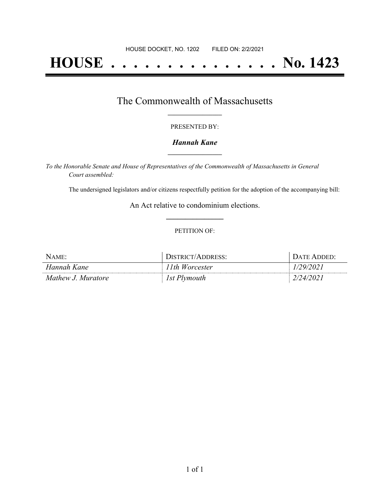# **HOUSE . . . . . . . . . . . . . . . No. 1423**

### The Commonwealth of Massachusetts **\_\_\_\_\_\_\_\_\_\_\_\_\_\_\_\_\_**

#### PRESENTED BY:

#### *Hannah Kane* **\_\_\_\_\_\_\_\_\_\_\_\_\_\_\_\_\_**

*To the Honorable Senate and House of Representatives of the Commonwealth of Massachusetts in General Court assembled:*

The undersigned legislators and/or citizens respectfully petition for the adoption of the accompanying bill:

An Act relative to condominium elections. **\_\_\_\_\_\_\_\_\_\_\_\_\_\_\_**

#### PETITION OF:

| Name:              | DISTRICT/ADDRESS: | Date Added <sup>.</sup> |
|--------------------|-------------------|-------------------------|
| Hannah Kane        | 1th Worcester     | 29/2021                 |
| Mathew J. Muratore | 1st Plymouth      | 2/24/2021               |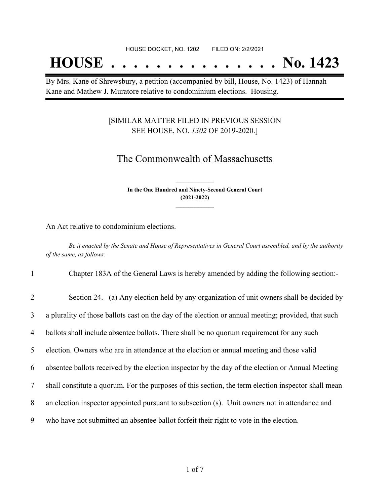## **HOUSE . . . . . . . . . . . . . . . No. 1423**

By Mrs. Kane of Shrewsbury, a petition (accompanied by bill, House, No. 1423) of Hannah Kane and Mathew J. Muratore relative to condominium elections. Housing.

#### [SIMILAR MATTER FILED IN PREVIOUS SESSION SEE HOUSE, NO. *1302* OF 2019-2020.]

## The Commonwealth of Massachusetts

**In the One Hundred and Ninety-Second General Court (2021-2022) \_\_\_\_\_\_\_\_\_\_\_\_\_\_\_**

**\_\_\_\_\_\_\_\_\_\_\_\_\_\_\_**

An Act relative to condominium elections.

Be it enacted by the Senate and House of Representatives in General Court assembled, and by the authority *of the same, as follows:*

1 Chapter 183A of the General Laws is hereby amended by adding the following section:-

| $\overline{2}$ | Section 24. (a) Any election held by any organization of unit owners shall be decided by            |
|----------------|-----------------------------------------------------------------------------------------------------|
| $\overline{3}$ | a plurality of those ballots cast on the day of the election or annual meeting; provided, that such |
| $\overline{4}$ | ballots shall include absentee ballots. There shall be no quorum requirement for any such           |
| 5 <sup>1</sup> | election. Owners who are in attendance at the election or annual meeting and those valid            |
| 6              | absentee ballots received by the election inspector by the day of the election or Annual Meeting    |
| $\tau$         | shall constitute a quorum. For the purposes of this section, the term election inspector shall mean |
| 8              | an election inspector appointed pursuant to subsection (s). Unit owners not in attendance and       |
| 9              | who have not submitted an absentee ballot forfeit their right to vote in the election.              |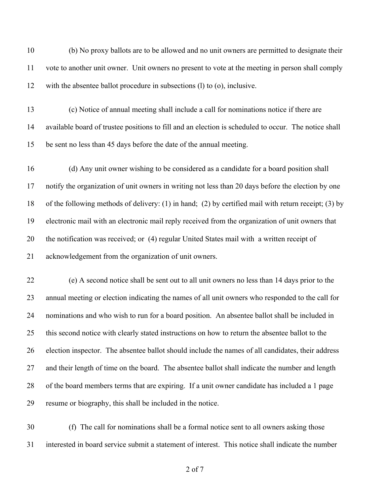(b) No proxy ballots are to be allowed and no unit owners are permitted to designate their vote to another unit owner. Unit owners no present to vote at the meeting in person shall comply with the absentee ballot procedure in subsections (l) to (o), inclusive.

 (c) Notice of annual meeting shall include a call for nominations notice if there are available board of trustee positions to fill and an election is scheduled to occur. The notice shall be sent no less than 45 days before the date of the annual meeting.

 (d) Any unit owner wishing to be considered as a candidate for a board position shall notify the organization of unit owners in writing not less than 20 days before the election by one of the following methods of delivery: (1) in hand; (2) by certified mail with return receipt; (3) by electronic mail with an electronic mail reply received from the organization of unit owners that the notification was received; or (4) regular United States mail with a written receipt of acknowledgement from the organization of unit owners.

 (e) A second notice shall be sent out to all unit owners no less than 14 days prior to the annual meeting or election indicating the names of all unit owners who responded to the call for nominations and who wish to run for a board position. An absentee ballot shall be included in this second notice with clearly stated instructions on how to return the absentee ballot to the election inspector. The absentee ballot should include the names of all candidates, their address and their length of time on the board. The absentee ballot shall indicate the number and length of the board members terms that are expiring. If a unit owner candidate has included a 1 page resume or biography, this shall be included in the notice.

 (f) The call for nominations shall be a formal notice sent to all owners asking those interested in board service submit a statement of interest. This notice shall indicate the number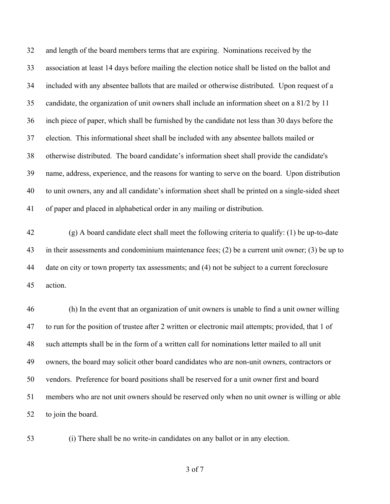and length of the board members terms that are expiring. Nominations received by the association at least 14 days before mailing the election notice shall be listed on the ballot and included with any absentee ballots that are mailed or otherwise distributed. Upon request of a candidate, the organization of unit owners shall include an information sheet on a 81/2 by 11 inch piece of paper, which shall be furnished by the candidate not less than 30 days before the election. This informational sheet shall be included with any absentee ballots mailed or otherwise distributed. The board candidate's information sheet shall provide the candidate's name, address, experience, and the reasons for wanting to serve on the board. Upon distribution to unit owners, any and all candidate's information sheet shall be printed on a single-sided sheet of paper and placed in alphabetical order in any mailing or distribution.

 (g) A board candidate elect shall meet the following criteria to qualify: (1) be up-to-date in their assessments and condominium maintenance fees; (2) be a current unit owner; (3) be up to date on city or town property tax assessments; and (4) not be subject to a current foreclosure action.

 (h) In the event that an organization of unit owners is unable to find a unit owner willing to run for the position of trustee after 2 written or electronic mail attempts; provided, that 1 of such attempts shall be in the form of a written call for nominations letter mailed to all unit owners, the board may solicit other board candidates who are non-unit owners, contractors or vendors. Preference for board positions shall be reserved for a unit owner first and board members who are not unit owners should be reserved only when no unit owner is willing or able to join the board.

(i) There shall be no write-in candidates on any ballot or in any election.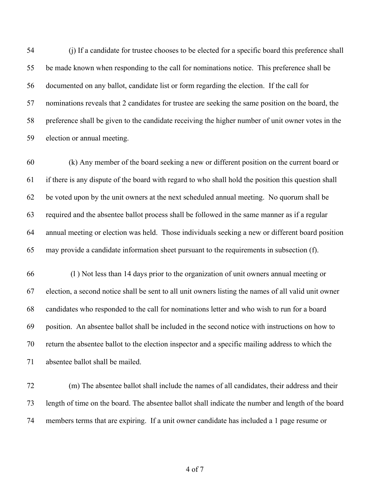(j) If a candidate for trustee chooses to be elected for a specific board this preference shall be made known when responding to the call for nominations notice. This preference shall be documented on any ballot, candidate list or form regarding the election. If the call for nominations reveals that 2 candidates for trustee are seeking the same position on the board, the preference shall be given to the candidate receiving the higher number of unit owner votes in the election or annual meeting.

 (k) Any member of the board seeking a new or different position on the current board or if there is any dispute of the board with regard to who shall hold the position this question shall be voted upon by the unit owners at the next scheduled annual meeting. No quorum shall be required and the absentee ballot process shall be followed in the same manner as if a regular annual meeting or election was held. Those individuals seeking a new or different board position may provide a candidate information sheet pursuant to the requirements in subsection (f).

 (l ) Not less than 14 days prior to the organization of unit owners annual meeting or election, a second notice shall be sent to all unit owners listing the names of all valid unit owner candidates who responded to the call for nominations letter and who wish to run for a board position. An absentee ballot shall be included in the second notice with instructions on how to return the absentee ballot to the election inspector and a specific mailing address to which the absentee ballot shall be mailed.

 (m) The absentee ballot shall include the names of all candidates, their address and their length of time on the board. The absentee ballot shall indicate the number and length of the board members terms that are expiring. If a unit owner candidate has included a 1 page resume or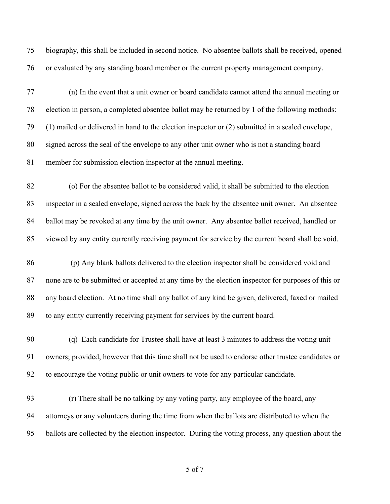biography, this shall be included in second notice. No absentee ballots shall be received, opened or evaluated by any standing board member or the current property management company.

 (n) In the event that a unit owner or board candidate cannot attend the annual meeting or election in person, a completed absentee ballot may be returned by 1 of the following methods: (1) mailed or delivered in hand to the election inspector or (2) submitted in a sealed envelope, signed across the seal of the envelope to any other unit owner who is not a standing board member for submission election inspector at the annual meeting.

 (o) For the absentee ballot to be considered valid, it shall be submitted to the election inspector in a sealed envelope, signed across the back by the absentee unit owner. An absentee ballot may be revoked at any time by the unit owner. Any absentee ballot received, handled or viewed by any entity currently receiving payment for service by the current board shall be void.

 (p) Any blank ballots delivered to the election inspector shall be considered void and none are to be submitted or accepted at any time by the election inspector for purposes of this or any board election. At no time shall any ballot of any kind be given, delivered, faxed or mailed to any entity currently receiving payment for services by the current board.

 (q) Each candidate for Trustee shall have at least 3 minutes to address the voting unit owners; provided, however that this time shall not be used to endorse other trustee candidates or to encourage the voting public or unit owners to vote for any particular candidate.

 (r) There shall be no talking by any voting party, any employee of the board, any attorneys or any volunteers during the time from when the ballots are distributed to when the ballots are collected by the election inspector. During the voting process, any question about the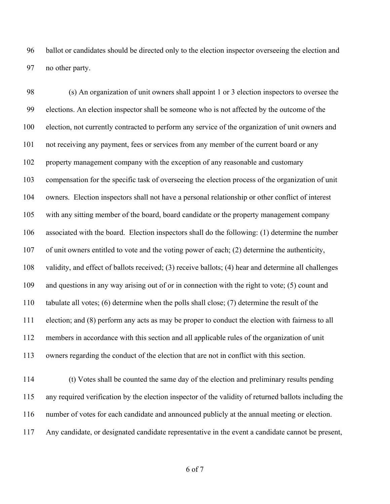ballot or candidates should be directed only to the election inspector overseeing the election and no other party.

 (s) An organization of unit owners shall appoint 1 or 3 election inspectors to oversee the elections. An election inspector shall be someone who is not affected by the outcome of the election, not currently contracted to perform any service of the organization of unit owners and not receiving any payment, fees or services from any member of the current board or any property management company with the exception of any reasonable and customary compensation for the specific task of overseeing the election process of the organization of unit owners. Election inspectors shall not have a personal relationship or other conflict of interest with any sitting member of the board, board candidate or the property management company associated with the board. Election inspectors shall do the following: (1) determine the number of unit owners entitled to vote and the voting power of each; (2) determine the authenticity, validity, and effect of ballots received; (3) receive ballots; (4) hear and determine all challenges and questions in any way arising out of or in connection with the right to vote; (5) count and tabulate all votes; (6) determine when the polls shall close; (7) determine the result of the election; and (8) perform any acts as may be proper to conduct the election with fairness to all members in accordance with this section and all applicable rules of the organization of unit owners regarding the conduct of the election that are not in conflict with this section.

 (t) Votes shall be counted the same day of the election and preliminary results pending any required verification by the election inspector of the validity of returned ballots including the number of votes for each candidate and announced publicly at the annual meeting or election. Any candidate, or designated candidate representative in the event a candidate cannot be present,